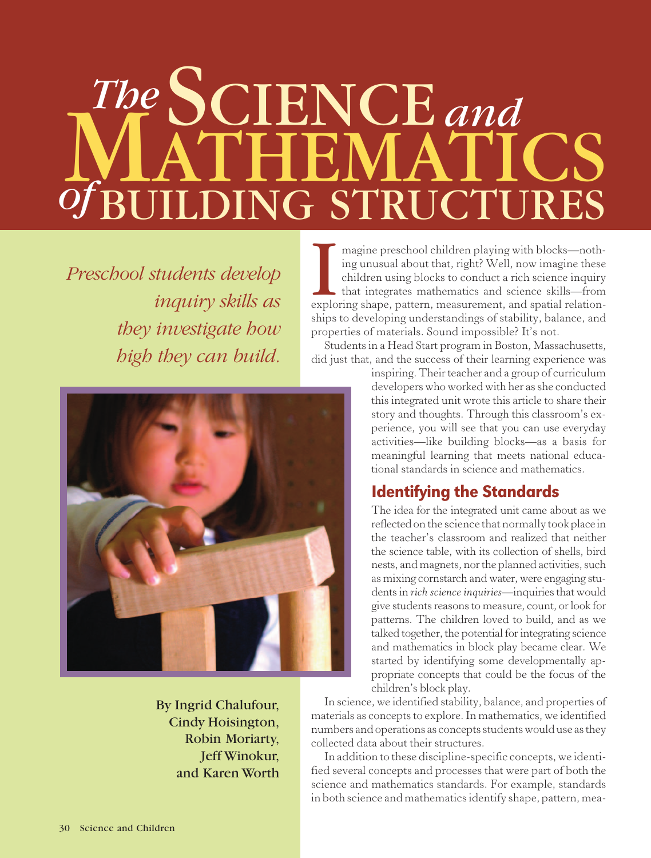# *The* SCIENCE **MATHEMATICS**<br>*Of* BUILDING STRUCTURES BUILDING STRUCTURES *and*

*Preschool students develop inquiry skills as they investigate how high they can build.*



By Ingrid Chalufour, Cindy Hoisington, Robin Moriarty, Jeff Winokur, and Karen Worth

magine preschool children playing with blocks**—**nothing unusual about that, right? Well, now imagine these children using blocks to conduct a rich science inquiry that integrates mathematics and science skills**—**from magine preschool children playing with blocks—nothing unusual about that, right? Well, now imagine these children using blocks to conduct a rich science inquiry that integrates mathematics and science skills—from exploring ships to developing understandings of stability, balance, and properties of materials. Sound impossible? It's not.

Students in a Head Start program in Boston, Massachusetts, did just that, and the success of their learning experience was

> inspiring. Their teacher and a group of curriculum developers who worked with her as she conducted this integrated unit wrote this article to share their story and thoughts. Through this classroom's experience, you will see that you can use everyday activities**—**like building blocks**—**as a basis for meaningful learning that meets national educational standards in science and mathematics.

# Identifying the Standards

The idea for the integrated unit came about as we reflected on the science that normally took place in the teacher's classroom and realized that neither the science table, with its collection of shells, bird nests, and magnets, nor the planned activities, such as mixing cornstarch and water, were engaging students in *rich science inquiries—*inquiries that would give students reasons to measure, count, or look for patterns. The children loved to build, and as we talked together, the potential for integrating science and mathematics in block play became clear. We started by identifying some developmentally appropriate concepts that could be the focus of the children's block play.

In science, we identified stability, balance, and properties of materials as concepts to explore. In mathematics, we identified numbers and operations as concepts students would use as they collected data about their structures.

In addition to these discipline-specific concepts, we identified several concepts and processes that were part of both the science and mathematics standards. For example, standards in both science and mathematics identify shape, pattern, mea-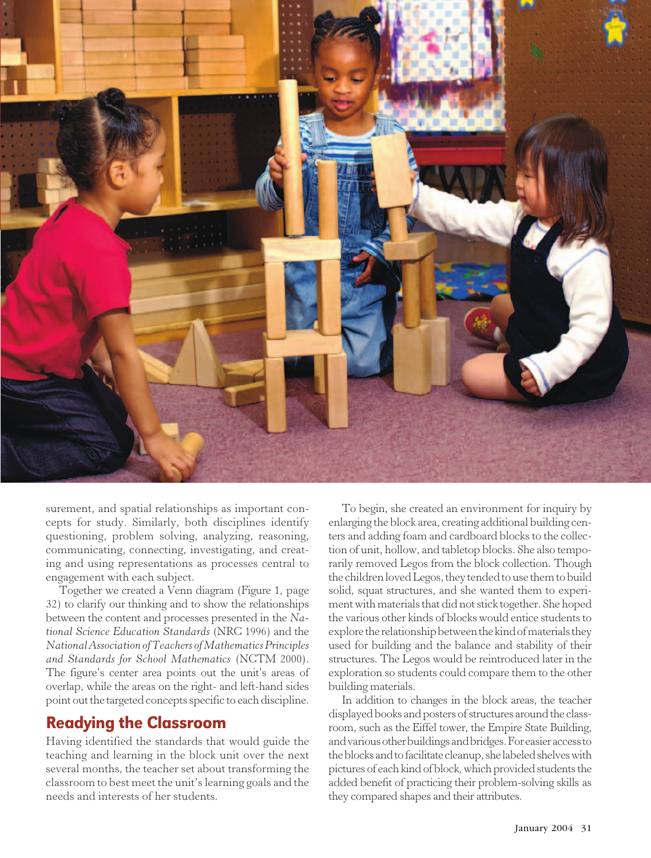

surement, and spatial relationships as important concepts for study. Similarly, both disciplines identify questioning, problem solving, analyzing, reasoning, communicating, connecting, investigating, and creating and using representations as processes central to engagement with each subject.

Together we created a Venn diagram (Figure 1, page 32) to clarify our thinking and to show the relationships between the content and processes presented in the *National Science Education Standards* (NRC 1996) and the *National Association of Teachers of Mathematics Principles and Standards for School Mathematics* (NCTM 2000). The figure's center area points out the unit's areas of overlap, while the areas on the right- and left-hand sides point out the targeted concepts specific to each discipline.

# Readying the Classroom

Having identified the standards that would guide the teaching and learning in the block unit over the next several months, the teacher set about transforming the classroom to best meet the unit's learning goals and the needs and interests of her students.

To begin, she created an environment for inquiry by enlarging the block area, creating additional building centers and adding foam and cardboard blocks to the collection of unit, hollow, and tabletop blocks. She also temporarily removed Legos from the block collection. Though the children loved Legos, they tended to use them to build solid, squat structures, and she wanted them to experiment with materials that did not stick together. She hoped the various other kinds of blocks would entice students to explore the relationship between the kind of materials they used for building and the balance and stability of their structures. The Legos would be reintroduced later in the exploration so students could compare them to the other building materials.

In addition to changes in the block areas, the teacher displayed books and posters of structures around the classroom, such as the Eiffel tower, the Empire State Building, and various other buildings and bridges. For easier access to the blocks and to facilitate cleanup, she labeled shelves with pictures of each kind of block, which provided students the added benefit of practicing their problem-solving skills as they compared shapes and their attributes.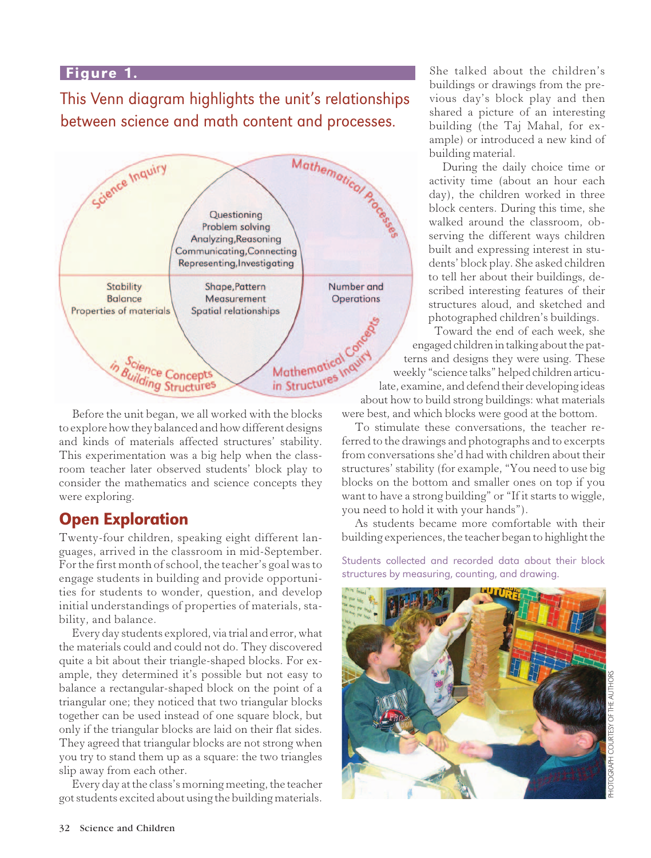# Figure 1.

This Venn diagram highlights the unit's relationships between science and math content and processes.



Before the unit began, we all worked with the blocks to explore how they balanced and how different designs and kinds of materials affected structures' stability. This experimentation was a big help when the classroom teacher later observed students' block play to consider the mathematics and science concepts they were exploring.

# Open Exploration

Twenty-four children, speaking eight different languages, arrived in the classroom in mid-September. For the first month of school, the teacher's goal was to engage students in building and provide opportunities for students to wonder, question, and develop initial understandings of properties of materials, stability, and balance.

Every day students explored, via trial and error, what the materials could and could not do. They discovered quite a bit about their triangle-shaped blocks. For example, they determined it's possible but not easy to balance a rectangular-shaped block on the point of a triangular one; they noticed that two triangular blocks together can be used instead of one square block, but only if the triangular blocks are laid on their flat sides. They agreed that triangular blocks are not strong when you try to stand them up as a square: the two triangles slip away from each other.

Every day at the class's morning meeting, the teacher got students excited about using the building materials.

She talked about the children's buildings or drawings from the previous day's block play and then shared a picture of an interesting building (the Taj Mahal, for example) or introduced a new kind of building material.

During the daily choice time or activity time (about an hour each day), the children worked in three block centers. During this time, she walked around the classroom, observing the different ways children built and expressing interest in students' block play. She asked children to tell her about their buildings, described interesting features of their structures aloud, and sketched and photographed children's buildings.

Toward the end of each week, she engaged children in talking about the patterns and designs they were using. These weekly "science talks" helped children articulate, examine, and defend their developing ideas about how to build strong buildings: what materials about how to build strong buildings: what materials

were best, and which blocks were good at the bottom. To stimulate these conversations, the teacher referred to the drawings and photographs and to excerpts from conversations she'd had with children about their structures' stability (for example, "You need to use big blocks on the bottom and smaller ones on top if you want to have a strong building" or "If it starts to wiggle,

you need to hold it with your hands"). As students became more comfortable with their building experiences, the teacher began to highlight the

Students collected and recorded data about their block structures by measuring, counting, and drawing.

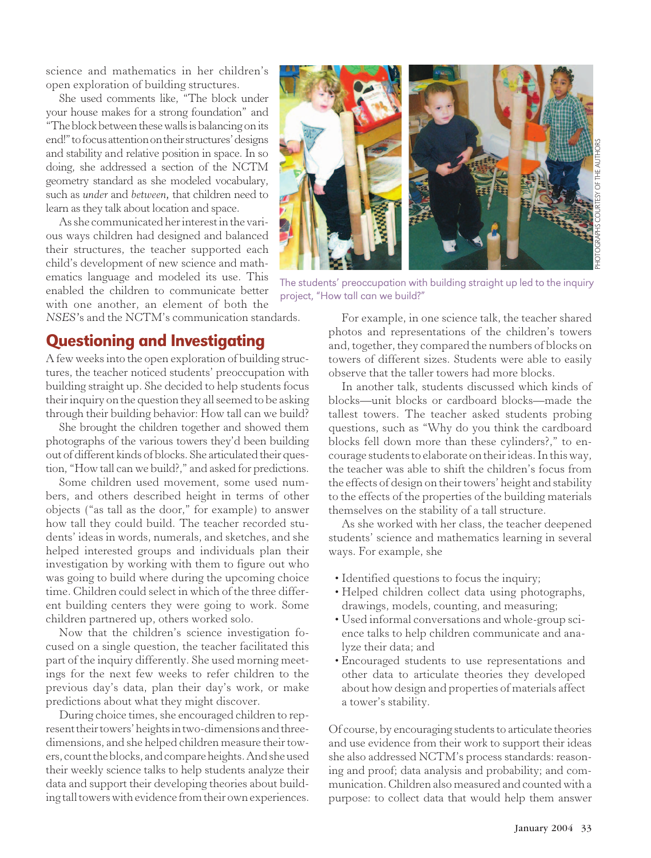science and mathematics in her children's open exploration of building structures.

She used comments like, "The block under your house makes for a strong foundation" and "The block between these walls is balancing on its end!" to focus attention on their structures' designs and stability and relative position in space. In so doing, she addressed a section of the NCTM geometry standard as she modeled vocabulary, such as *under* and *between,* that children need to learn as they talk about location and space.

As she communicated her interest in the various ways children had designed and balanced their structures, the teacher supported each child's development of new science and mathematics language and modeled its use. This enabled the children to communicate better with one another, an element of both the

*NSES'*s and the NCTM's communication standards.

Questioning and Investigating

A few weeks into the open exploration of building structures, the teacher noticed students' preoccupation with building straight up. She decided to help students focus their inquiry on the question they all seemed to be asking through their building behavior: How tall can we build?

She brought the children together and showed them photographs of the various towers they'd been building out of different kinds of blocks. She articulated their question, "How tall can we build?," and asked for predictions.

Some children used movement, some used numbers, and others described height in terms of other objects ("as tall as the door," for example) to answer how tall they could build. The teacher recorded students' ideas in words, numerals, and sketches, and she helped interested groups and individuals plan their investigation by working with them to figure out who was going to build where during the upcoming choice time. Children could select in which of the three different building centers they were going to work. Some children partnered up, others worked solo.

Now that the children's science investigation focused on a single question, the teacher facilitated this part of the inquiry differently. She used morning meetings for the next few weeks to refer children to the previous day's data, plan their day's work, or make predictions about what they might discover.

During choice times, she encouraged children to represent their towers' heights in two-dimensions and threedimensions, and she helped children measure their towers, count the blocks, and compare heights. And she used their weekly science talks to help students analyze their data and support their developing theories about building tall towers with evidence from their own experiences.



The students' preoccupation with building straight up led to the inquiry project, "How tall can we build?"

For example, in one science talk, the teacher shared photos and representations of the children's towers and, together, they compared the numbers of blocks on towers of different sizes. Students were able to easily observe that the taller towers had more blocks.

In another talk, students discussed which kinds of blocks**—**unit blocks or cardboard blocks**—**made the tallest towers. The teacher asked students probing questions, such as "Why do you think the cardboard blocks fell down more than these cylinders?," to encourage students to elaborate on their ideas. In this way, the teacher was able to shift the children's focus from the effects of design on their towers' height and stability to the effects of the properties of the building materials themselves on the stability of a tall structure.

As she worked with her class, the teacher deepened students' science and mathematics learning in several ways. For example, she

- Identified questions to focus the inquiry;
- Helped children collect data using photographs, drawings, models, counting, and measuring;
- Used informal conversations and whole-group science talks to help children communicate and analyze their data; and
- Encouraged students to use representations and other data to articulate theories they developed about how design and properties of materials affect a tower's stability.

Of course, by encouraging students to articulate theories and use evidence from their work to support their ideas she also addressed NCTM's process standards: reasoning and proof; data analysis and probability; and communication. Children also measured and counted with a purpose: to collect data that would help them answer